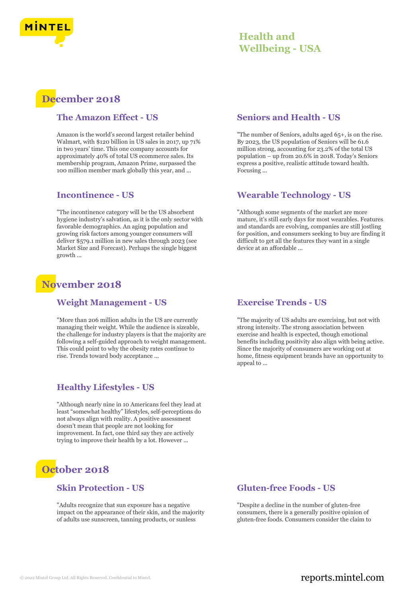

## **Health and Wellbeing - USA**

# **December 2018**

#### **The Amazon Effect - US**

Amazon is the world's second largest retailer behind Walmart, with \$120 billion in US sales in 2017, up 71% in two years' time. This one company accounts for approximately 40% of total US ecommerce sales. Its membership program, Amazon Prime, surpassed the 100 million member mark globally this year, and ...

#### **Incontinence - US**

"The incontinence category will be the US absorbent hygiene industry's salvation, as it is the only sector with favorable demographics. An aging population and growing risk factors among younger consumers will deliver \$579.1 million in new sales through 2023 (see Market Size and Forecast). Perhaps the single biggest growth ...

## **November 2018**

#### **Weight Management - US**

"More than 206 million adults in the US are currently managing their weight. While the audience is sizeable, the challenge for industry players is that the majority are following a self-guided approach to weight management. This could point to why the obesity rates continue to rise. Trends toward body acceptance ...

### **Healthy Lifestyles - US**

"Although nearly nine in 10 Americans feel they lead at least "somewhat healthy" lifestyles, self-perceptions do not always align with reality. A positive assessment doesn't mean that people are not looking for improvement. In fact, one third say they are actively trying to improve their health by a lot. However ...

# **October 2018**

#### **Skin Protection - US**

"Adults recognize that sun exposure has a negative impact on the appearance of their skin, and the majority of adults use sunscreen, tanning products, or sunless

#### **Seniors and Health - US**

"The number of Seniors, adults aged 65+, is on the rise. By 2023, the US population of Seniors will be 61.6 million strong, accounting for 23.2% of the total US population – up from 20.6% in 2018. Today's Seniors express a positive, realistic attitude toward health. Focusing ...

#### **Wearable Technology - US**

"Although some segments of the market are more mature, it's still early days for most wearables. Features and standards are evolving, companies are still jostling for position, and consumers seeking to buy are finding it difficult to get all the features they want in a single device at an affordable ...

#### **Exercise Trends - US**

"The majority of US adults are exercising, but not with strong intensity. The strong association between exercise and health is expected, though emotional benefits including positivity also align with being active. Since the majority of consumers are working out at home, fitness equipment brands have an opportunity to appeal to ...

#### **Gluten-free Foods - US**

"Despite a decline in the number of gluten-free consumers, there is a generally positive opinion of gluten-free foods. Consumers consider the claim to